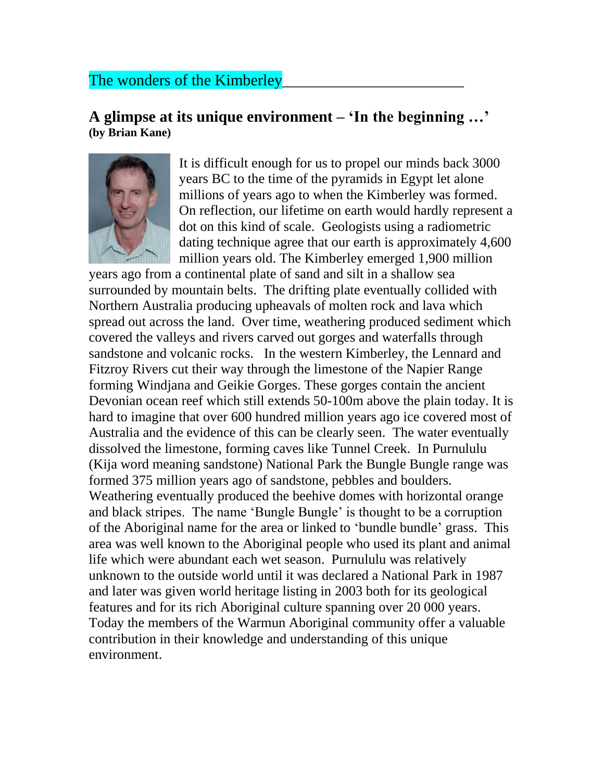## The wonders of the Kimberley

## **A glimpse at its unique environment – 'In the beginning …' (by Brian Kane)**



It is difficult enough for us to propel our minds back 3000 years BC to the time of the pyramids in Egypt let alone millions of years ago to when the Kimberley was formed. On reflection, our lifetime on earth would hardly represent a dot on this kind of scale. Geologists using a radiometric dating technique agree that our earth is approximately 4,600 million years old. The Kimberley emerged 1,900 million

years ago from a continental plate of sand and silt in a shallow sea surrounded by mountain belts. The drifting plate eventually collided with Northern Australia producing upheavals of molten rock and lava which spread out across the land. Over time, weathering produced sediment which covered the valleys and rivers carved out gorges and waterfalls through sandstone and volcanic rocks. In the western Kimberley, the Lennard and Fitzroy Rivers cut their way through the limestone of the Napier Range forming [Windjana](http://www.calm.wa.gov.au/national_parks/previous_parks_month/windjana_gorge.html) and [Geikie](http://www.calm.wa.gov.au/national_parks/previous_parks_month/geikie_gorge.html) Gorges. These gorges contain the ancient Devonian ocean reef which still extends 50-100m above the plain today. It is hard to imagine that over 600 hundred million years ago ice covered most of Australia and the evidence of this can be clearly seen. The water eventually dissolved the limestone, forming caves like Tunnel Creek. In [Purnululu](http://www.calm.wa.gov.au/national_parks/previous_parks_month/purnululu.html) (Kija word meaning sandstone) National Park the Bungle Bungle range was formed 375 million years ago of sandstone, pebbles and boulders. Weathering eventually produced the beehive domes with horizontal orange and black stripes. The name 'Bungle Bungle' is thought to be a corruption of the Aboriginal name for the area or linked to 'bundle bundle' grass. This area was well known to the Aboriginal people who used its plant and animal life which were abundant each wet season. Purnululu was relatively unknown to the outside world until it was declared a National Park in 1987 and later was given world heritage listing in 2003 both for its geological features and for its rich Aboriginal culture spanning over 20 000 years. Today the members of the Warmun Aboriginal community offer a valuable contribution in their knowledge and understanding of this unique environment.